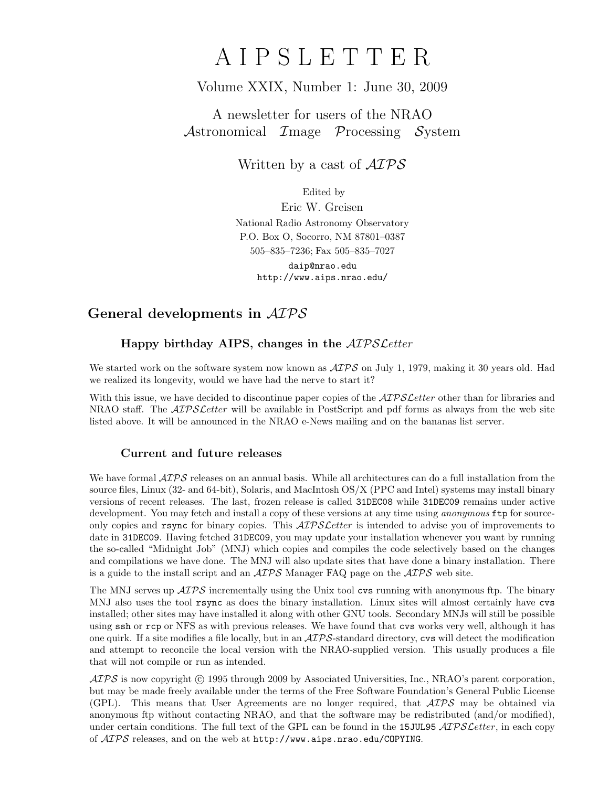# A I P S L E T T E R

# Volume XXIX, Number 1: June 30, 2009

# A newsletter for users of the NRAO Astronomical Image Processing System

Written by a cast of  $\mathcal{AIPS}$ 

Edited by Eric W. Greisen National Radio Astronomy Observatory P.O. Box O, Socorro, NM 87801–0387 505–835–7236; Fax 505–835–7027 daip@nrao.edu http://www.aips.nrao.edu/

# General developments in AIPS

## Happy birthday AIPS, changes in the AIPSLetter

We started work on the software system now known as  $\mathcal{AIPS}$  on July 1, 1979, making it 30 years old. Had we realized its longevity, would we have had the nerve to start it?

With this issue, we have decided to discontinue paper copies of the  $ATPSLetter$  other than for libraries and NRAO staff. The *AIPS Letter* will be available in PostScript and pdf forms as always from the web site listed above. It will be announced in the NRAO e-News mailing and on the bananas list server.

## Current and future releases

We have formal  $\mathcal{AIPS}$  releases on an annual basis. While all architectures can do a full installation from the source files, Linux (32- and 64-bit), Solaris, and MacIntosh OS/X (PPC and Intel) systems may install binary versions of recent releases. The last, frozen release is called 31DEC08 while 31DEC09 remains under active development. You may fetch and install a copy of these versions at any time using *anonymous* ftp for sourceonly copies and rsync for binary copies. This  $\mathcal{AIPS}\mathcal{L}etter$  is intended to advise you of improvements to date in 31DEC09. Having fetched 31DEC09, you may update your installation whenever you want by running the so-called "Midnight Job" (MNJ) which copies and compiles the code selectively based on the changes and compilations we have done. The MNJ will also update sites that have done a binary installation. There is a guide to the install script and an  $\mathcal{AIPS}$  Manager FAQ page on the  $\mathcal{AIPS}$  web site.

The MNJ serves up  $\mathcal{A} \mathcal{I} \mathcal{P} \mathcal{S}$  incrementally using the Unix tool cvs running with anonymous ftp. The binary MNJ also uses the tool rsync as does the binary installation. Linux sites will almost certainly have cvs installed; other sites may have installed it along with other GNU tools. Secondary MNJs will still be possible using ssh or rcp or NFS as with previous releases. We have found that cvs works very well, although it has one quirk. If a site modifies a file locally, but in an  $\mathcal{AIPS}$ -standard directory, cvs will detect the modification and attempt to reconcile the local version with the NRAO-supplied version. This usually produces a file that will not compile or run as intended.

 $\mathcal{AIPS}$  is now copyright (c) 1995 through 2009 by Associated Universities, Inc., NRAO's parent corporation, but may be made freely available under the terms of the Free Software Foundation's General Public License (GPL). This means that User Agreements are no longer required, that  $\mathcal{AIPS}$  may be obtained via anonymous ftp without contacting NRAO, and that the software may be redistributed (and/or modified), under certain conditions. The full text of the GPL can be found in the 15JUL95  $\mathcal{AIPS}$  Letter, in each copy of  $ATPS$  releases, and on the web at  $http://www.aips.nrao.edu/COPYING.$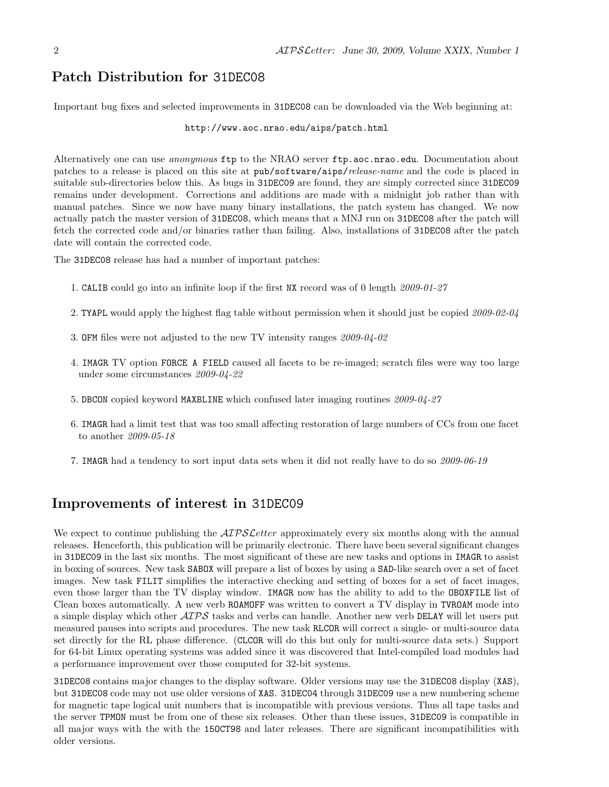# Patch Distribution for 31DEC08

Important bug fixes and selected improvements in 31DEC08 can be downloaded via the Web beginning at:

#### http://www.aoc.nrao.edu/aips/patch.html

Alternatively one can use *anonymous* ftp to the NRAO server ftp.aoc.nrao.edu. Documentation about patches to a release is placed on this site at pub/software/aips/release-name and the code is placed in suitable sub-directories below this. As bugs in 31DEC09 are found, they are simply corrected since 31DEC09 remains under development. Corrections and additions are made with a midnight job rather than with manual patches. Since we now have many binary installations, the patch system has changed. We now actually patch the master version of 31DEC08, which means that a MNJ run on 31DEC08 after the patch will fetch the corrected code and/or binaries rather than failing. Also, installations of 31DEC08 after the patch date will contain the corrected code.

The 31DEC08 release has had a number of important patches:

- 1. CALIB could go into an infinite loop if the first NX record was of 0 length 2009-01-27
- 2. TYAPL would apply the highest flag table without permission when it should just be copied 2009-02-04
- 3. OFM files were not adjusted to the new TV intensity ranges 2009-04-02
- 4. IMAGR TV option FORCE A FIELD caused all facets to be re-imaged; scratch files were way too large under some circumstances 2009-04-22
- 5. DBCON copied keyword MAXBLINE which confused later imaging routines 2009-04-27
- 6. IMAGR had a limit test that was too small affecting restoration of large numbers of CCs from one facet to another 2009-05-18
- 7. IMAGR had a tendency to sort input data sets when it did not really have to do so 2009-06-19

## Improvements of interest in 31DEC09

We expect to continue publishing the *AIPS Letter* approximately every six months along with the annual releases. Henceforth, this publication will be primarily electronic. There have been several significant changes in 31DEC09 in the last six months. The most significant of these are new tasks and options in IMAGR to assist in boxing of sources. New task SABOX will prepare a list of boxes by using a SAD-like search over a set of facet images. New task FILIT simplifies the interactive checking and setting of boxes for a set of facet images, even those larger than the TV display window. IMAGR now has the ability to add to the OBOXFILE list of Clean boxes automatically. A new verb ROAMOFF was written to convert a TV display in TVROAM mode into a simple display which other AIPS tasks and verbs can handle. Another new verb DELAY will let users put measured pauses into scripts and procedures. The new task RLCOR will correct a single- or multi-source data set directly for the RL phase difference. (CLCOR will do this but only for multi-source data sets.) Support for 64-bit Linux operating systems was added since it was discovered that Intel-compiled load modules had a performance improvement over those computed for 32-bit systems.

31DEC08 contains major changes to the display software. Older versions may use the 31DEC08 display (XAS), but 31DEC08 code may not use older versions of XAS. 31DEC04 through 31DEC09 use a new numbering scheme for magnetic tape logical unit numbers that is incompatible with previous versions. Thus all tape tasks and the server TPMON must be from one of these six releases. Other than these issues, 31DEC09 is compatible in all major ways with the with the 15OCT98 and later releases. There are significant incompatibilities with older versions.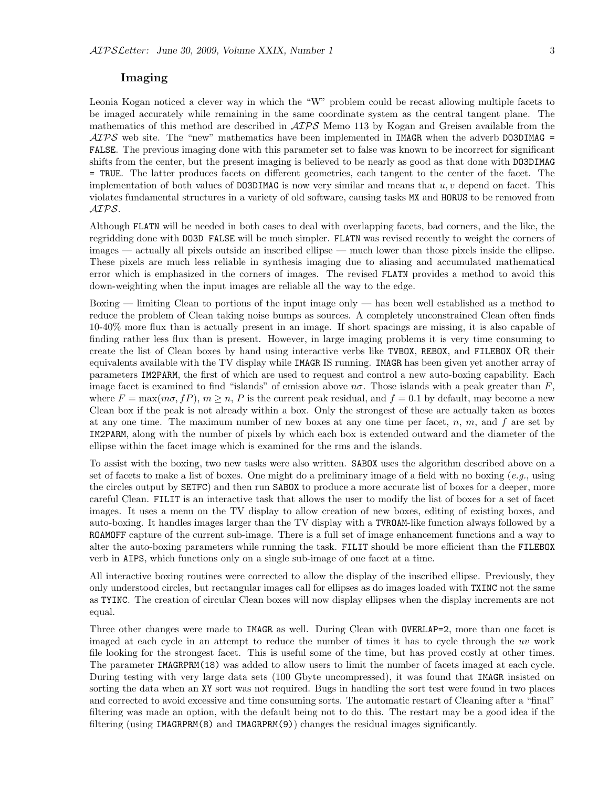#### Imaging

Leonia Kogan noticed a clever way in which the "W" problem could be recast allowing multiple facets to be imaged accurately while remaining in the same coordinate system as the central tangent plane. The mathematics of this method are described in  $\mathcal{A} \mathcal{I} \mathcal{P} \mathcal{S}$  Memo 113 by Kogan and Greisen available from the  $ATPS$  web site. The "new" mathematics have been implemented in IMAGR when the adverb DO3DIMAG = FALSE. The previous imaging done with this parameter set to false was known to be incorrect for significant shifts from the center, but the present imaging is believed to be nearly as good as that done with DO3DIMAG = TRUE. The latter produces facets on different geometries, each tangent to the center of the facet. The implementation of both values of  $D03DIMAG$  is now very similar and means that  $u, v$  depend on facet. This violates fundamental structures in a variety of old software, causing tasks MX and HORUS to be removed from AIPS.

Although FLATN will be needed in both cases to deal with overlapping facets, bad corners, and the like, the regridding done with DO3D FALSE will be much simpler. FLATN was revised recently to weight the corners of images — actually all pixels outside an inscribed ellipse — much lower than those pixels inside the ellipse. These pixels are much less reliable in synthesis imaging due to aliasing and accumulated mathematical error which is emphasized in the corners of images. The revised FLATN provides a method to avoid this down-weighting when the input images are reliable all the way to the edge.

Boxing — limiting Clean to portions of the input image only — has been well established as a method to reduce the problem of Clean taking noise bumps as sources. A completely unconstrained Clean often finds 10-40% more flux than is actually present in an image. If short spacings are missing, it is also capable of finding rather less flux than is present. However, in large imaging problems it is very time consuming to create the list of Clean boxes by hand using interactive verbs like TVBOX, REBOX, and FILEBOX OR their equivalents available with the TV display while IMAGR IS running. IMAGR has been given yet another array of parameters IM2PARM, the first of which are used to request and control a new auto-boxing capability. Each image facet is examined to find "islands" of emission above  $n\sigma$ . Those islands with a peak greater than F, where  $F = \max(m\sigma, fP), m \ge n$ , P is the current peak residual, and  $f = 0.1$  by default, may become a new Clean box if the peak is not already within a box. Only the strongest of these are actually taken as boxes at any one time. The maximum number of new boxes at any one time per facet,  $n$ ,  $m$ , and  $f$  are set by IM2PARM, along with the number of pixels by which each box is extended outward and the diameter of the ellipse within the facet image which is examined for the rms and the islands.

To assist with the boxing, two new tasks were also written. SABOX uses the algorithm described above on a set of facets to make a list of boxes. One might do a preliminary image of a field with no boxing  $(e.g.,$  using the circles output by SETFC) and then run SABOX to produce a more accurate list of boxes for a deeper, more careful Clean. FILIT is an interactive task that allows the user to modify the list of boxes for a set of facet images. It uses a menu on the TV display to allow creation of new boxes, editing of existing boxes, and auto-boxing. It handles images larger than the TV display with a TVROAM-like function always followed by a ROAMOFF capture of the current sub-image. There is a full set of image enhancement functions and a way to alter the auto-boxing parameters while running the task. FILIT should be more efficient than the FILEBOX verb in AIPS, which functions only on a single sub-image of one facet at a time.

All interactive boxing routines were corrected to allow the display of the inscribed ellipse. Previously, they only understood circles, but rectangular images call for ellipses as do images loaded with TXINC not the same as TYINC. The creation of circular Clean boxes will now display ellipses when the display increments are not equal.

Three other changes were made to IMAGR as well. During Clean with OVERLAP=2, more than one facet is imaged at each cycle in an attempt to reduce the number of times it has to cycle through the uv work file looking for the strongest facet. This is useful some of the time, but has proved costly at other times. The parameter IMAGRPRM(18) was added to allow users to limit the number of facets imaged at each cycle. During testing with very large data sets (100 Gbyte uncompressed), it was found that IMAGR insisted on sorting the data when an XY sort was not required. Bugs in handling the sort test were found in two places and corrected to avoid excessive and time consuming sorts. The automatic restart of Cleaning after a "final" filtering was made an option, with the default being not to do this. The restart may be a good idea if the filtering (using IMAGRPRM(8) and IMAGRPRM(9)) changes the residual images significantly.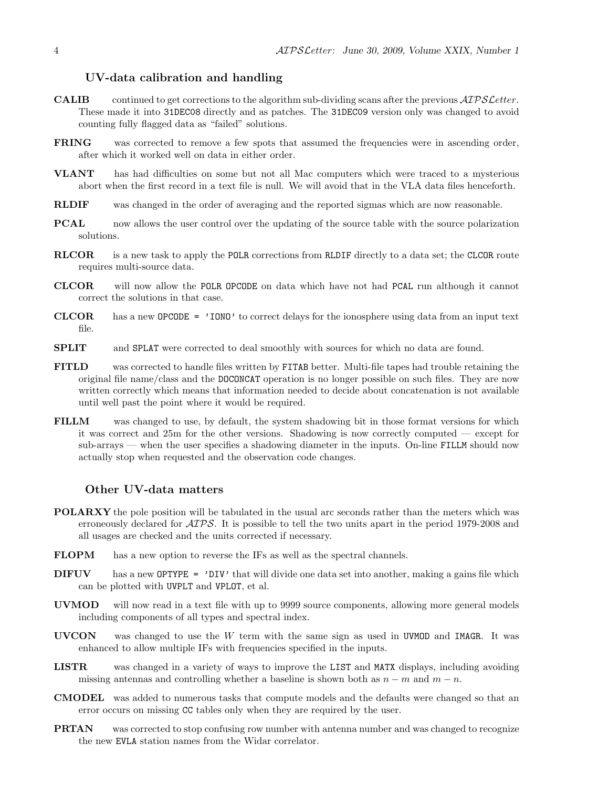## UV-data calibration and handling

- **CALIB** continued to get corrections to the algorithm sub-dividing scans after the previous  $\mathcal{A}TPSLetter$ . These made it into 31DEC08 directly and as patches. The 31DEC09 version only was changed to avoid counting fully flagged data as "failed" solutions.
- FRING was corrected to remove a few spots that assumed the frequencies were in ascending order, after which it worked well on data in either order.
- VLANT has had difficulties on some but not all Mac computers which were traced to a mysterious abort when the first record in a text file is null. We will avoid that in the VLA data files henceforth.
- RLDIF was changed in the order of averaging and the reported sigmas which are now reasonable.
- PCAL now allows the user control over the updating of the source table with the source polarization solutions.
- RLCOR is a new task to apply the POLR corrections from RLDIF directly to a data set; the CLCOR route requires multi-source data.
- CLCOR will now allow the POLR OPCODE on data which have not had PCAL run although it cannot correct the solutions in that case.
- CLCOR has a new OPCODE =  $'1000'$  to correct delays for the ionosphere using data from an input text file.
- SPLIT and SPLAT were corrected to deal smoothly with sources for which no data are found.
- FITLD was corrected to handle files written by FITAB better. Multi-file tapes had trouble retaining the original file name/class and the DOCONCAT operation is no longer possible on such files. They are now written correctly which means that information needed to decide about concatenation is not available until well past the point where it would be required.
- FILLM was changed to use, by default, the system shadowing bit in those format versions for which it was correct and 25m for the other versions. Shadowing is now correctly computed — except for sub-arrays — when the user specifies a shadowing diameter in the inputs. On-line FILLM should now actually stop when requested and the observation code changes.

## Other UV-data matters

- POLARXY the pole position will be tabulated in the usual arc seconds rather than the meters which was erroneously declared for  $\mathcal{A} \mathcal{I} \mathcal{P} \mathcal{S}$ . It is possible to tell the two units apart in the period 1979-2008 and all usages are checked and the units corrected if necessary.
- FLOPM has a new option to reverse the IFs as well as the spectral channels.
- DIFUV has a new OPTYPE = 'DIV' that will divide one data set into another, making a gains file which can be plotted with UVPLT and VPLOT, et al.
- UVMOD will now read in a text file with up to 9999 source components, allowing more general models including components of all types and spectral index.
- UVCON was changed to use the W term with the same sign as used in UVMOD and IMAGR. It was enhanced to allow multiple IFs with frequencies specified in the inputs.
- LISTR was changed in a variety of ways to improve the LIST and MATX displays, including avoiding missing antennas and controlling whether a baseline is shown both as  $n - m$  and  $m - n$ .
- CMODEL was added to numerous tasks that compute models and the defaults were changed so that an error occurs on missing CC tables only when they are required by the user.
- **PRTAN** was corrected to stop confusing row number with antenna number and was changed to recognize the new EVLA station names from the Widar correlator.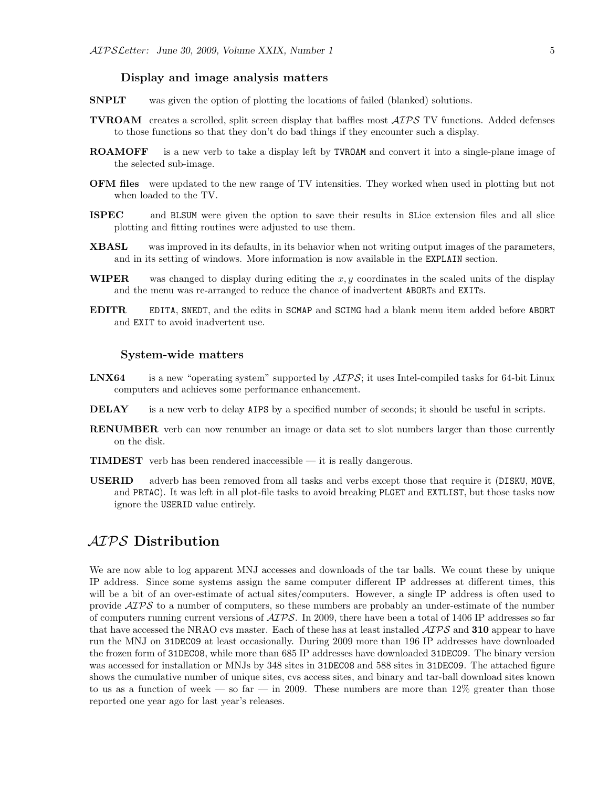#### Display and image analysis matters

- SNPLT was given the option of plotting the locations of failed (blanked) solutions.
- **TVROAM** creates a scrolled, split screen display that baffles most  $\mathcal{AIPS}$  TV functions. Added defenses to those functions so that they don't do bad things if they encounter such a display.
- ROAMOFF is a new verb to take a display left by TVROAM and convert it into a single-plane image of the selected sub-image.
- OFM files were updated to the new range of TV intensities. They worked when used in plotting but not when loaded to the TV.
- ISPEC and BLSUM were given the option to save their results in SLice extension files and all slice plotting and fitting routines were adjusted to use them.
- XBASL was improved in its defaults, in its behavior when not writing output images of the parameters, and in its setting of windows. More information is now available in the EXPLAIN section.
- **WIPER** was changed to display during editing the  $x, y$  coordinates in the scaled units of the display and the menu was re-arranged to reduce the chance of inadvertent ABORTs and EXITs.
- EDITR EDITA, SNEDT, and the edits in SCMAP and SCIMG had a blank menu item added before ABORT and EXIT to avoid inadvertent use.

### System-wide matters

- **LNX64** is a new "operating system" supported by  $\mathcal{AIPS}$ ; it uses Intel-compiled tasks for 64-bit Linux computers and achieves some performance enhancement.
- DELAY is a new verb to delay AIPS by a specified number of seconds; it should be useful in scripts.
- **RENUMBER** verb can now renumber an image or data set to slot numbers larger than those currently on the disk.
- TIMDEST verb has been rendered inaccessible it is really dangerous.
- USERID adverb has been removed from all tasks and verbs except those that require it (DISKU, MOVE, and PRTAC). It was left in all plot-file tasks to avoid breaking PLGET and EXTLIST, but those tasks now ignore the USERID value entirely.

# AIPS Distribution

We are now able to log apparent MNJ accesses and downloads of the tar balls. We count these by unique IP address. Since some systems assign the same computer different IP addresses at different times, this will be a bit of an over-estimate of actual sites/computers. However, a single IP address is often used to provide  $\mathcal{AIPS}$  to a number of computers, so these numbers are probably an under-estimate of the number of computers running current versions of  $\mathcal{AIPS}$ . In 2009, there have been a total of 1406 IP addresses so far that have accessed the NRAO cvs master. Each of these has at least installed  $\mathcal{AIPS}$  and 310 appear to have run the MNJ on 31DEC09 at least occasionally. During 2009 more than 196 IP addresses have downloaded the frozen form of 31DEC08, while more than 685 IP addresses have downloaded 31DEC09. The binary version was accessed for installation or MNJs by 348 sites in 31DEC08 and 588 sites in 31DEC09. The attached figure shows the cumulative number of unique sites, cvs access sites, and binary and tar-ball download sites known to us as a function of week — so far — in 2009. These numbers are more than 12% greater than those reported one year ago for last year's releases.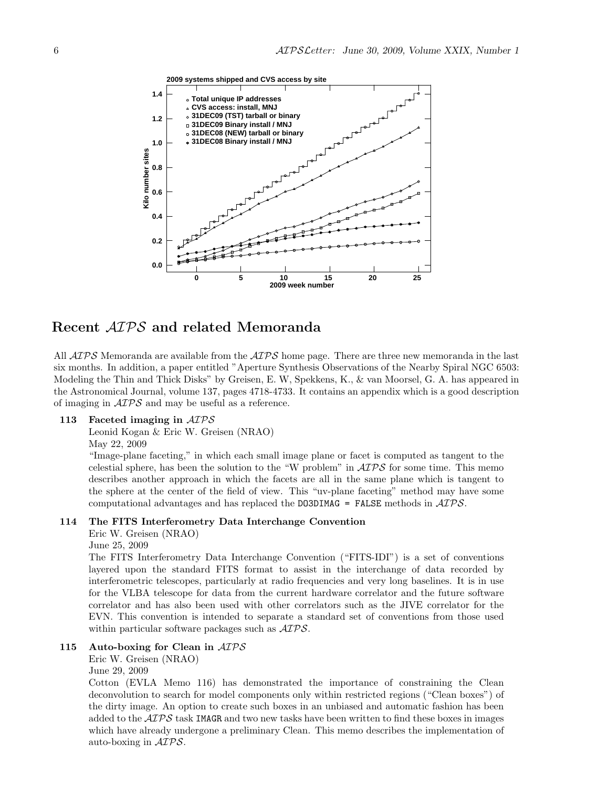

# Recent AIPS and related Memoranda

All  $ATPS$  Memoranda are available from the  $ATPS$  home page. There are three new memoranda in the last six months. In addition, a paper entitled "Aperture Synthesis Observations of the Nearby Spiral NGC 6503: Modeling the Thin and Thick Disks" by Greisen, E. W, Spekkens, K., & van Moorsel, G. A. has appeared in the Astronomical Journal, volume 137, pages 4718-4733. It contains an appendix which is a good description of imaging in AIPS and may be useful as a reference.

#### 113 Faceted imaging in AIPS

Leonid Kogan & Eric W. Greisen (NRAO)

May 22, 2009

"Image-plane faceting," in which each small image plane or facet is computed as tangent to the celestial sphere, has been the solution to the "W problem" in  $\mathcal{AIPS}$  for some time. This memo describes another approach in which the facets are all in the same plane which is tangent to the sphere at the center of the field of view. This "uv-plane faceting" method may have some computational advantages and has replaced the DO3DIMAG = FALSE methods in  $\mathcal{AIPS}$ .

#### 114 The FITS Interferometry Data Interchange Convention

Eric W. Greisen (NRAO)

June 25, 2009

The FITS Interferometry Data Interchange Convention ("FITS-IDI") is a set of conventions layered upon the standard FITS format to assist in the interchange of data recorded by interferometric telescopes, particularly at radio frequencies and very long baselines. It is in use for the VLBA telescope for data from the current hardware correlator and the future software correlator and has also been used with other correlators such as the JIVE correlator for the EVN. This convention is intended to separate a standard set of conventions from those used within particular software packages such as  $\mathcal{AIPS}$ .

#### 115 Auto-boxing for Clean in AIPS

Eric W. Greisen (NRAO)

June 29, 2009

Cotton (EVLA Memo 116) has demonstrated the importance of constraining the Clean deconvolution to search for model components only within restricted regions ("Clean boxes") of the dirty image. An option to create such boxes in an unbiased and automatic fashion has been added to the  $\mathcal{AIPS}$  task IMAGR and two new tasks have been written to find these boxes in images which have already undergone a preliminary Clean. This memo describes the implementation of auto-boxing in AIPS.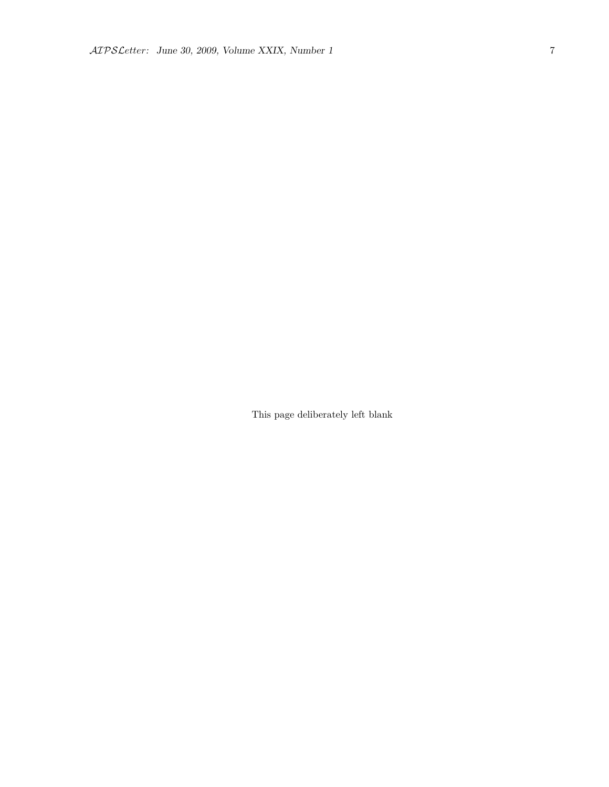This page deliberately left blank